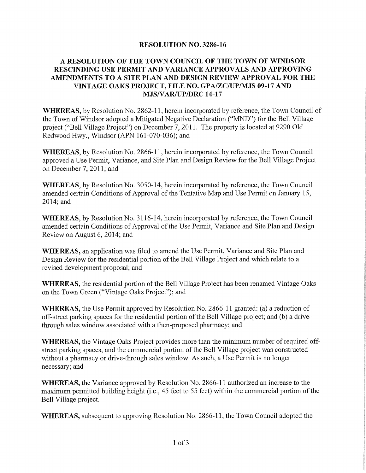## **RESOLUTION NO. 3286-16**

### A RESOLUTION OF THE TOWN COUNCIL OF THE TOWN OF WINDSOR RESCINDING USE PERMIT AND VARIANCE APPROVALS AND APPROVING AMENDMENTS TO A SITE PLAN AND DESIGN REVIEW APPROVAL FOR THE VINTAGE OAKS PROJECT, FILE NO. GPA/ZC/UP/MJS 09-17 AND MJS/VAR/UP/DRC 14-17

**WHEREAS**, by Resolution No. 2862-11, herein incorporated by reference, the Town Council of the Town of Windsor adopted a Mitigated Negative Declaration ("MND") for the Bell Village project ("Bell Village Project") on December 7, 2011. The property is located at 9290 Old Redwood Hwy., Windsor (APN 161-070-036); and

**WHEREAS**, by Resolution No. 2866-11, herein incorporated by reference, the Town Council approved a Use Permit, Variance, and Site Plan and Design Review for the Bell Village Project on December 7, 2011; and

WHEREAS, by Resolution No. 3050-14, herein incorporated by reference, the Town Council amended certain Conditions of Approval of the Tentative Map and Use Permit on January 15. 2014; and

WHEREAS, by Resolution No. 3116-14, herein incorporated by reference, the Town Council amended certain Conditions of Approval of the Use Permit, Variance and Site Plan and Design Review on August 6, 2014; and

WHEREAS, an application was filed to amend the Use Permit, Variance and Site Plan and Design Review for the residential portion of the Bell Village Project and which relate to a revised development proposal; and

**WHEREAS**, the residential portion of the Bell Village Project has been renamed Vintage Oaks on the Town Green ("Vintage Oaks Project"); and

**WHEREAS**, the Use Permit approved by Resolution No. 2866-11 granted: (a) a reduction of off-street parking spaces for the residential portion of the Bell Village project; and (b) a drivethrough sales window associated with a then-proposed pharmacy; and

WHEREAS, the Vintage Oaks Project provides more than the minimum number of required offstreet parking spaces, and the commercial portion of the Bell Village project was constructed without a pharmacy or drive-through sales window. As such, a Use Permit is no longer necessary; and

**WHEREAS**, the Variance approved by Resolution No. 2866-11 authorized an increase to the maximum permitted building height (i.e., 45 feet to 55 feet) within the commercial portion of the Bell Village project.

**WHEREAS**, subsequent to approving Resolution No. 2866-11, the Town Council adopted the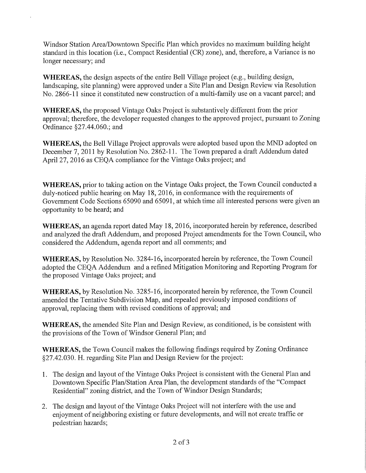Windsor Station Area/Downtown Specific Plan which provides no maximum building height standard in this location (i.e., Compact Residential (CR) zone), and, therefore, a Variance is no longer necessary; and

WHEREAS, the design aspects of the entire Bell Village project (e.g., building design, landscaping, site planning) were approved under a Site Plan and Design Review via Resolution No. 2866-11 since it constituted new construction of a multi-family use on a vacant parcel; and

**WHEREAS**, the proposed Vintage Oaks Project is substantively different from the prior approval; therefore, the developer requested changes to the approved project, pursuant to Zoning Ordinance §27.44.060.; and

**WHEREAS**, the Bell Village Project approvals were adopted based upon the MND adopted on December 7, 2011 by Resolution No. 2862-11. The Town prepared a draft Addendum dated April 27, 2016 as CEQA compliance for the Vintage Oaks project; and

**WHEREAS**, prior to taking action on the Vintage Oaks project, the Town Council conducted a duly-noticed public hearing on May 18, 2016, in conformance with the requirements of Government Code Sections 65090 and 65091, at which time all interested persons were given an opportunity to be heard; and

**WHEREAS**, an agenda report dated May 18, 2016, incorporated herein by reference, described and analyzed the draft Addendum, and proposed Project amendments for the Town Council, who considered the Addendum, agenda report and all comments; and

**WHEREAS**, by Resolution No. 3284-16, incorporated herein by reference, the Town Council adopted the CEQA Addendum and a refined Mitigation Monitoring and Reporting Program for the proposed Vintage Oaks project; and

**WHEREAS**, by Resolution No. 3285-16, incorporated herein by reference, the Town Council amended the Tentative Subdivision Map, and repealed previously imposed conditions of approval, replacing them with revised conditions of approval; and

WHEREAS, the amended Site Plan and Design Review, as conditioned, is be consistent with the provisions of the Town of Windsor General Plan; and

**WHEREAS, the Town Council makes the following findings required by Zoning Ordinance** §27,42,030. H. regarding Site Plan and Design Review for the project:

- 1. The design and layout of the Vintage Oaks Project is consistent with the General Plan and Downtown Specific Plan/Station Area Plan, the development standards of the "Compact" Residential" zoning district, and the Town of Windsor Design Standards;
- 2. The design and layout of the Vintage Oaks Project will not interfere with the use and enjoyment of neighboring existing or future developments, and will not create traffic or pedestrian hazards;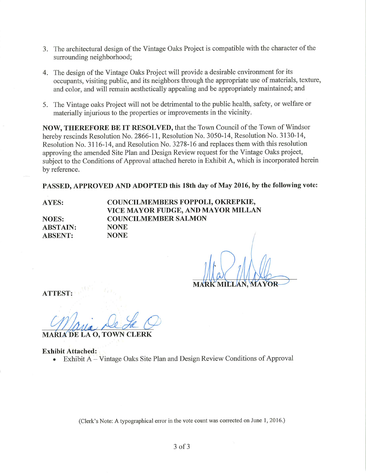- 3. The architectural design of the Vintage Oaks Project is compatible with the character of the surrounding neighborhood;
- 4. The design of the Vintage Oaks Project will provide a desirable environment for its occupants, visiting public, and its neighbors through the appropriate use of materials, texture, and color, and will remain aesthetically appealing and be appropriately maintained; and
- 5. The Vintage oaks Project will not be detrimental to the public health, safety, or welfare or materially injurious to the properties or improvements in the vicinity.

NOW, THEREFORE BE IT RESOLVED, that the Town Council of the Town of Windsor hereby rescinds Resolution No. 2866-11, Resolution No. 3050-14, Resolution No. 3130-14, Resolution No. 3116-14, and Resolution No. 3278-16 and replaces them with this resolution approving the amended Site Plan and Design Review request for the Vintage Oaks project, subject to the Conditions of Approval attached hereto in Exhibit A, which is incorporated herein by reference.

PASSED, APPROVED AND ADOPTED this 18th day of May 2016, by the following vote:

**AYES:** 

**NOES: ABSTAIN: ABSENT:** 

COUNCILMEMBERS FOPPOLI, OKREPKIE, VICE MAYOR FUDGE, AND MAYOR MILLAN **COUNCILMEMBER SALMON NONE NONE** 

**ATTEST:** 

**MARIA DE LA O. TOWN** 

# **Exhibit Attached:**

Exhibit A – Vintage Oaks Site Plan and Design Review Conditions of Approval

(Clerk's Note: A typographical error in the vote count was corrected on June 1, 2016.)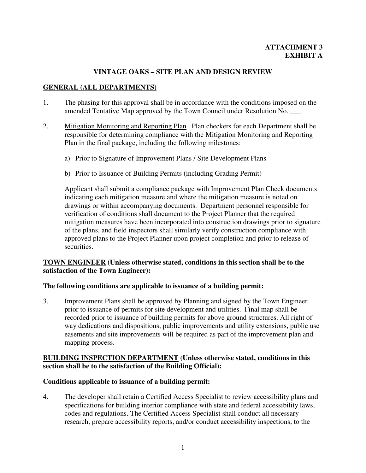# **ATTACHMENT 3 EXHIBIT A**

# **VINTAGE OAKS – SITE PLAN AND DESIGN REVIEW**

# **GENERAL (ALL DEPARTMENTS)**

- 1. The phasing for this approval shall be in accordance with the conditions imposed on the amended Tentative Map approved by the Town Council under Resolution No. \_\_\_.
- 2. Mitigation Monitoring and Reporting Plan. Plan checkers for each Department shall be responsible for determining compliance with the Mitigation Monitoring and Reporting Plan in the final package, including the following milestones:
	- a) Prior to Signature of Improvement Plans / Site Development Plans
	- b) Prior to Issuance of Building Permits (including Grading Permit)

Applicant shall submit a compliance package with Improvement Plan Check documents indicating each mitigation measure and where the mitigation measure is noted on drawings or within accompanying documents. Department personnel responsible for verification of conditions shall document to the Project Planner that the required mitigation measures have been incorporated into construction drawings prior to signature of the plans, and field inspectors shall similarly verify construction compliance with approved plans to the Project Planner upon project completion and prior to release of securities.

### **TOWN ENGINEER (Unless otherwise stated, conditions in this section shall be to the satisfaction of the Town Engineer):**

#### **The following conditions are applicable to issuance of a building permit:**

3. Improvement Plans shall be approved by Planning and signed by the Town Engineer prior to issuance of permits for site development and utilities. Final map shall be recorded prior to issuance of building permits for above ground structures. All right of way dedications and dispositions, public improvements and utility extensions, public use easements and site improvements will be required as part of the improvement plan and mapping process.

## **BUILDING INSPECTION DEPARTMENT (Unless otherwise stated, conditions in this section shall be to the satisfaction of the Building Official):**

## **Conditions applicable to issuance of a building permit:**

4. The developer shall retain a Certified Access Specialist to review accessibility plans and specifications for building interior compliance with state and federal accessibility laws, codes and regulations. The Certified Access Specialist shall conduct all necessary research, prepare accessibility reports, and/or conduct accessibility inspections, to the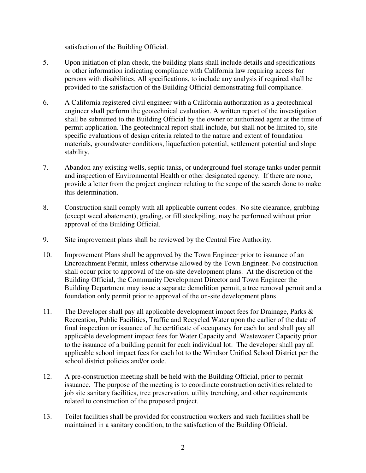satisfaction of the Building Official.

- 5. Upon initiation of plan check, the building plans shall include details and specifications or other information indicating compliance with California law requiring access for persons with disabilities. All specifications, to include any analysis if required shall be provided to the satisfaction of the Building Official demonstrating full compliance.
- 6. A California registered civil engineer with a California authorization as a geotechnical engineer shall perform the geotechnical evaluation. A written report of the investigation shall be submitted to the Building Official by the owner or authorized agent at the time of permit application. The geotechnical report shall include, but shall not be limited to, sitespecific evaluations of design criteria related to the nature and extent of foundation materials, groundwater conditions, liquefaction potential, settlement potential and slope stability.
- 7. Abandon any existing wells, septic tanks, or underground fuel storage tanks under permit and inspection of Environmental Health or other designated agency. If there are none, provide a letter from the project engineer relating to the scope of the search done to make this determination.
- 8. Construction shall comply with all applicable current codes. No site clearance, grubbing (except weed abatement), grading, or fill stockpiling, may be performed without prior approval of the Building Official.
- 9. Site improvement plans shall be reviewed by the Central Fire Authority.
- 10. Improvement Plans shall be approved by the Town Engineer prior to issuance of an Encroachment Permit, unless otherwise allowed by the Town Engineer. No construction shall occur prior to approval of the on-site development plans. At the discretion of the Building Official, the Community Development Director and Town Engineer the Building Department may issue a separate demolition permit, a tree removal permit and a foundation only permit prior to approval of the on-site development plans.
- 11. The Developer shall pay all applicable development impact fees for Drainage, Parks & Recreation, Public Facilities, Traffic and Recycled Water upon the earlier of the date of final inspection or issuance of the certificate of occupancy for each lot and shall pay all applicable development impact fees for Water Capacity and Wastewater Capacity prior to the issuance of a building permit for each individual lot. The developer shall pay all applicable school impact fees for each lot to the Windsor Unified School District per the school district policies and/or code.
- 12. A pre-construction meeting shall be held with the Building Official, prior to permit issuance. The purpose of the meeting is to coordinate construction activities related to job site sanitary facilities, tree preservation, utility trenching, and other requirements related to construction of the proposed project.
- 13. Toilet facilities shall be provided for construction workers and such facilities shall be maintained in a sanitary condition, to the satisfaction of the Building Official.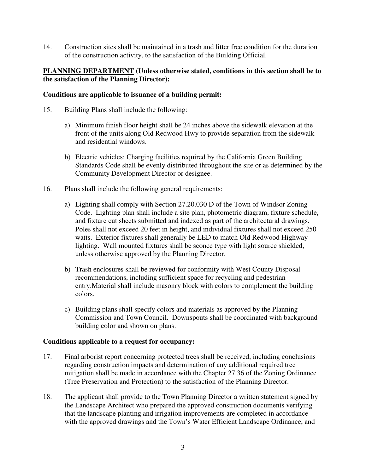14. Construction sites shall be maintained in a trash and litter free condition for the duration of the construction activity, to the satisfaction of the Building Official.

#### **PLANNING DEPARTMENT (Unless otherwise stated, conditions in this section shall be to the satisfaction of the Planning Director):**

#### **Conditions are applicable to issuance of a building permit:**

- 15. Building Plans shall include the following:
	- a) Minimum finish floor height shall be 24 inches above the sidewalk elevation at the front of the units along Old Redwood Hwy to provide separation from the sidewalk and residential windows.
	- b) Electric vehicles: Charging facilities required by the California Green Building Standards Code shall be evenly distributed throughout the site or as determined by the Community Development Director or designee.
- 16. Plans shall include the following general requirements:
	- a) Lighting shall comply with Section 27.20.030 D of the Town of Windsor Zoning Code. Lighting plan shall include a site plan, photometric diagram, fixture schedule, and fixture cut sheets submitted and indexed as part of the architectural drawings. Poles shall not exceed 20 feet in height, and individual fixtures shall not exceed 250 watts. Exterior fixtures shall generally be LED to match Old Redwood Highway lighting. Wall mounted fixtures shall be sconce type with light source shielded, unless otherwise approved by the Planning Director.
	- b) Trash enclosures shall be reviewed for conformity with West County Disposal recommendations, including sufficient space for recycling and pedestrian entry.Material shall include masonry block with colors to complement the building colors.
	- c) Building plans shall specify colors and materials as approved by the Planning Commission and Town Council. Downspouts shall be coordinated with background building color and shown on plans.

#### **Conditions applicable to a request for occupancy:**

- 17. Final arborist report concerning protected trees shall be received, including conclusions regarding construction impacts and determination of any additional required tree mitigation shall be made in accordance with the Chapter 27.36 of the Zoning Ordinance (Tree Preservation and Protection) to the satisfaction of the Planning Director.
- 18. The applicant shall provide to the Town Planning Director a written statement signed by the Landscape Architect who prepared the approved construction documents verifying that the landscape planting and irrigation improvements are completed in accordance with the approved drawings and the Town's Water Efficient Landscape Ordinance, and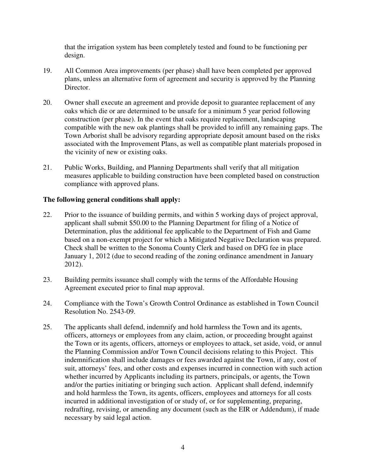that the irrigation system has been completely tested and found to be functioning per design.

- 19. All Common Area improvements (per phase) shall have been completed per approved plans, unless an alternative form of agreement and security is approved by the Planning Director.
- 20. Owner shall execute an agreement and provide deposit to guarantee replacement of any oaks which die or are determined to be unsafe for a minimum 5 year period following construction (per phase). In the event that oaks require replacement, landscaping compatible with the new oak plantings shall be provided to infill any remaining gaps. The Town Arborist shall be advisory regarding appropriate deposit amount based on the risks associated with the Improvement Plans, as well as compatible plant materials proposed in the vicinity of new or existing oaks.
- 21. Public Works, Building, and Planning Departments shall verify that all mitigation measures applicable to building construction have been completed based on construction compliance with approved plans.

## **The following general conditions shall apply:**

- 22. Prior to the issuance of building permits, and within 5 working days of project approval, applicant shall submit \$50.00 to the Planning Department for filing of a Notice of Determination, plus the additional fee applicable to the Department of Fish and Game based on a non-exempt project for which a Mitigated Negative Declaration was prepared. Check shall be written to the Sonoma County Clerk and based on DFG fee in place January 1, 2012 (due to second reading of the zoning ordinance amendment in January 2012).
- 23. Building permits issuance shall comply with the terms of the Affordable Housing Agreement executed prior to final map approval.
- 24. Compliance with the Town's Growth Control Ordinance as established in Town Council Resolution No. 2543-09.
- 25. The applicants shall defend, indemnify and hold harmless the Town and its agents, officers, attorneys or employees from any claim, action, or proceeding brought against the Town or its agents, officers, attorneys or employees to attack, set aside, void, or annul the Planning Commission and/or Town Council decisions relating to this Project. This indemnification shall include damages or fees awarded against the Town, if any, cost of suit, attorneys' fees, and other costs and expenses incurred in connection with such action whether incurred by Applicants including its partners, principals, or agents, the Town and/or the parties initiating or bringing such action. Applicant shall defend, indemnify and hold harmless the Town, its agents, officers, employees and attorneys for all costs incurred in additional investigation of or study of, or for supplementing, preparing, redrafting, revising, or amending any document (such as the EIR or Addendum), if made necessary by said legal action.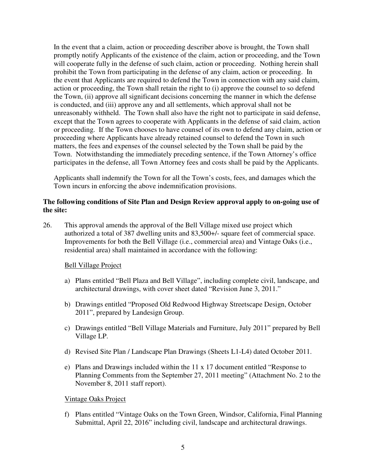In the event that a claim, action or proceeding describer above is brought, the Town shall promptly notify Applicants of the existence of the claim, action or proceeding, and the Town will cooperate fully in the defense of such claim, action or proceeding. Nothing herein shall prohibit the Town from participating in the defense of any claim, action or proceeding. In the event that Applicants are required to defend the Town in connection with any said claim, action or proceeding, the Town shall retain the right to (i) approve the counsel to so defend the Town, (ii) approve all significant decisions concerning the manner in which the defense is conducted, and (iii) approve any and all settlements, which approval shall not be unreasonably withheld. The Town shall also have the right not to participate in said defense, except that the Town agrees to cooperate with Applicants in the defense of said claim, action or proceeding. If the Town chooses to have counsel of its own to defend any claim, action or proceeding where Applicants have already retained counsel to defend the Town in such matters, the fees and expenses of the counsel selected by the Town shall be paid by the Town. Notwithstanding the immediately preceding sentence, if the Town Attorney's office participates in the defense, all Town Attorney fees and costs shall be paid by the Applicants.

Applicants shall indemnify the Town for all the Town's costs, fees, and damages which the Town incurs in enforcing the above indemnification provisions.

## **The following conditions of Site Plan and Design Review approval apply to on-going use of the site:**

26. This approval amends the approval of the Bell Village mixed use project which authorized a total of 387 dwelling units and 83,500+/- square feet of commercial space. Improvements for both the Bell Village (i.e., commercial area) and Vintage Oaks (i.e., residential area) shall maintained in accordance with the following:

## Bell Village Project

- a) Plans entitled "Bell Plaza and Bell Village", including complete civil, landscape, and architectural drawings, with cover sheet dated "Revision June 3, 2011."
- b) Drawings entitled "Proposed Old Redwood Highway Streetscape Design, October 2011", prepared by Landesign Group.
- c) Drawings entitled "Bell Village Materials and Furniture, July 2011" prepared by Bell Village LP.
- d) Revised Site Plan / Landscape Plan Drawings (Sheets L1-L4) dated October 2011.
- e) Plans and Drawings included within the 11 x 17 document entitled "Response to Planning Comments from the September 27, 2011 meeting" (Attachment No. 2 to the November 8, 2011 staff report).

Vintage Oaks Project

f) Plans entitled "Vintage Oaks on the Town Green, Windsor, California, Final Planning Submittal, April 22, 2016" including civil, landscape and architectural drawings.